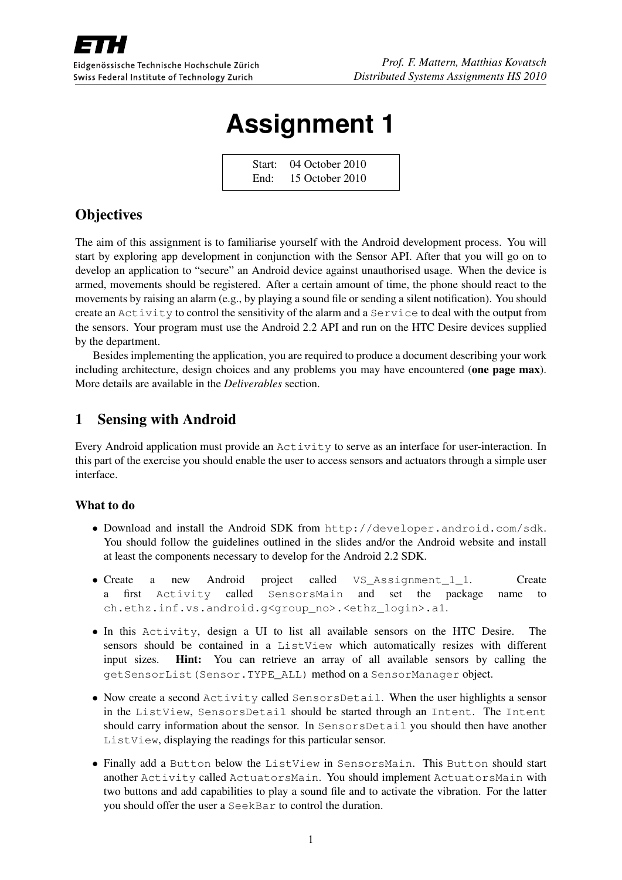

# **Assignment 1**

Start: 04 October 2010 End: 15 October 2010

## **Objectives**

The aim of this assignment is to familiarise yourself with the Android development process. You will start by exploring app development in conjunction with the Sensor API. After that you will go on to develop an application to "secure" an Android device against unauthorised usage. When the device is armed, movements should be registered. After a certain amount of time, the phone should react to the movements by raising an alarm (e.g., by playing a sound file or sending a silent notification). You should create an Activity to control the sensitivity of the alarm and a Service to deal with the output from the sensors. Your program must use the Android 2.2 API and run on the HTC Desire devices supplied by the department.

Besides implementing the application, you are required to produce a document describing your work including architecture, design choices and any problems you may have encountered (one page max). More details are available in the *Deliverables* section.

## 1 Sensing with Android

Every Android application must provide an Activity to serve as an interface for user-interaction. In this part of the exercise you should enable the user to access sensors and actuators through a simple user interface.

#### What to do

- Download and install the Android SDK from http://developer.android.com/sdk. You should follow the guidelines outlined in the slides and/or the Android website and install at least the components necessary to develop for the Android 2.2 SDK.
- Create a new Android project called VS Assignment 1 1. Create a first Activity called SensorsMain and set the package name to ch.ethz.inf.vs.android.g<group\_no>.<ethz\_login>.a1.
- In this Activity, design a UI to list all available sensors on the HTC Desire. The sensors should be contained in a ListView which automatically resizes with different input sizes. Hint: You can retrieve an array of all available sensors by calling the getSensorList(Sensor.TYPE\_ALL) method on a SensorManager object.
- Now create a second Activity called SensorsDetail. When the user highlights a sensor in the ListView, SensorsDetail should be started through an Intent. The Intent should carry information about the sensor. In SensorsDetail you should then have another ListView, displaying the readings for this particular sensor.
- Finally add a Button below the ListView in SensorsMain. This Button should start another Activity called ActuatorsMain. You should implement ActuatorsMain with two buttons and add capabilities to play a sound file and to activate the vibration. For the latter you should offer the user a SeekBar to control the duration.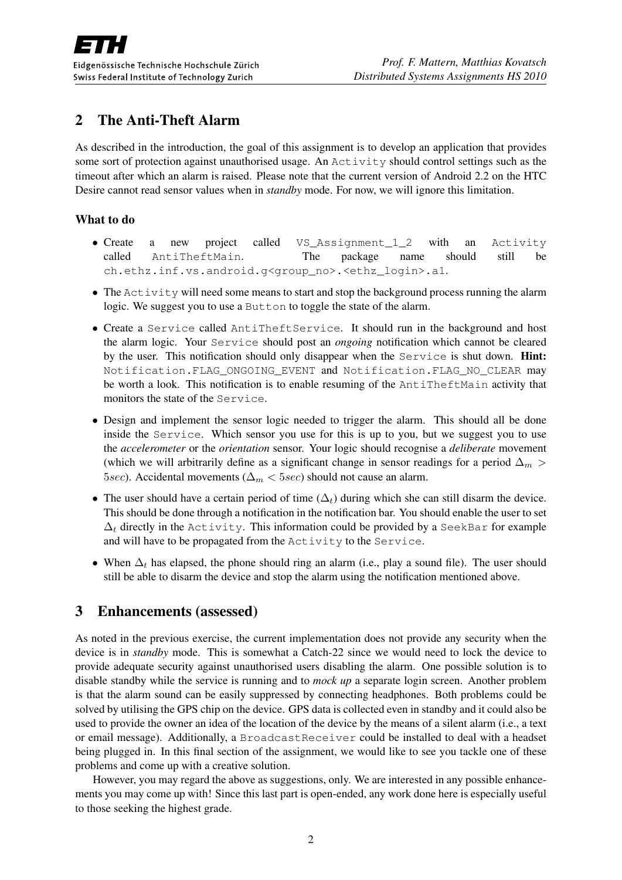## 2 The Anti-Theft Alarm

As described in the introduction, the goal of this assignment is to develop an application that provides some sort of protection against unauthorised usage. An Activity should control settings such as the timeout after which an alarm is raised. Please note that the current version of Android 2.2 on the HTC Desire cannot read sensor values when in *standby* mode. For now, we will ignore this limitation.

#### What to do

- Create a new project called VS\_Assignment\_1\_2 with an Activity called AntiTheftMain. The package name should still be ch.ethz.inf.vs.android.g<group\_no>.<ethz\_login>.a1.
- The Activity will need some means to start and stop the background process running the alarm logic. We suggest you to use a Button to toggle the state of the alarm.
- Create a Service called AntiTheftService. It should run in the background and host the alarm logic. Your Service should post an *ongoing* notification which cannot be cleared by the user. This notification should only disappear when the Service is shut down. Hint: Notification.FLAG\_ONGOING\_EVENT and Notification.FLAG\_NO\_CLEAR may be worth a look. This notification is to enable resuming of the AntiTheftMain activity that monitors the state of the Service.
- Design and implement the sensor logic needed to trigger the alarm. This should all be done inside the Service. Which sensor you use for this is up to you, but we suggest you to use the *accelerometer* or the *orientation* sensor. Your logic should recognise a *deliberate* movement (which we will arbitrarily define as a significant change in sensor readings for a period  $\Delta_m$  > 5sec). Accidental movements ( $\Delta_m <$  5sec) should not cause an alarm.
- The user should have a certain period of time  $(\Delta_t)$  during which she can still disarm the device. This should be done through a notification in the notification bar. You should enable the user to set  $\Delta_t$  directly in the Activity. This information could be provided by a SeekBar for example and will have to be propagated from the Activity to the Service.
- When  $\Delta_t$  has elapsed, the phone should ring an alarm (i.e., play a sound file). The user should still be able to disarm the device and stop the alarm using the notification mentioned above.

## 3 Enhancements (assessed)

As noted in the previous exercise, the current implementation does not provide any security when the device is in *standby* mode. This is somewhat a Catch-22 since we would need to lock the device to provide adequate security against unauthorised users disabling the alarm. One possible solution is to disable standby while the service is running and to *mock up* a separate login screen. Another problem is that the alarm sound can be easily suppressed by connecting headphones. Both problems could be solved by utilising the GPS chip on the device. GPS data is collected even in standby and it could also be used to provide the owner an idea of the location of the device by the means of a silent alarm (i.e., a text or email message). Additionally, a BroadcastReceiver could be installed to deal with a headset being plugged in. In this final section of the assignment, we would like to see you tackle one of these problems and come up with a creative solution.

However, you may regard the above as suggestions, only. We are interested in any possible enhancements you may come up with! Since this last part is open-ended, any work done here is especially useful to those seeking the highest grade.